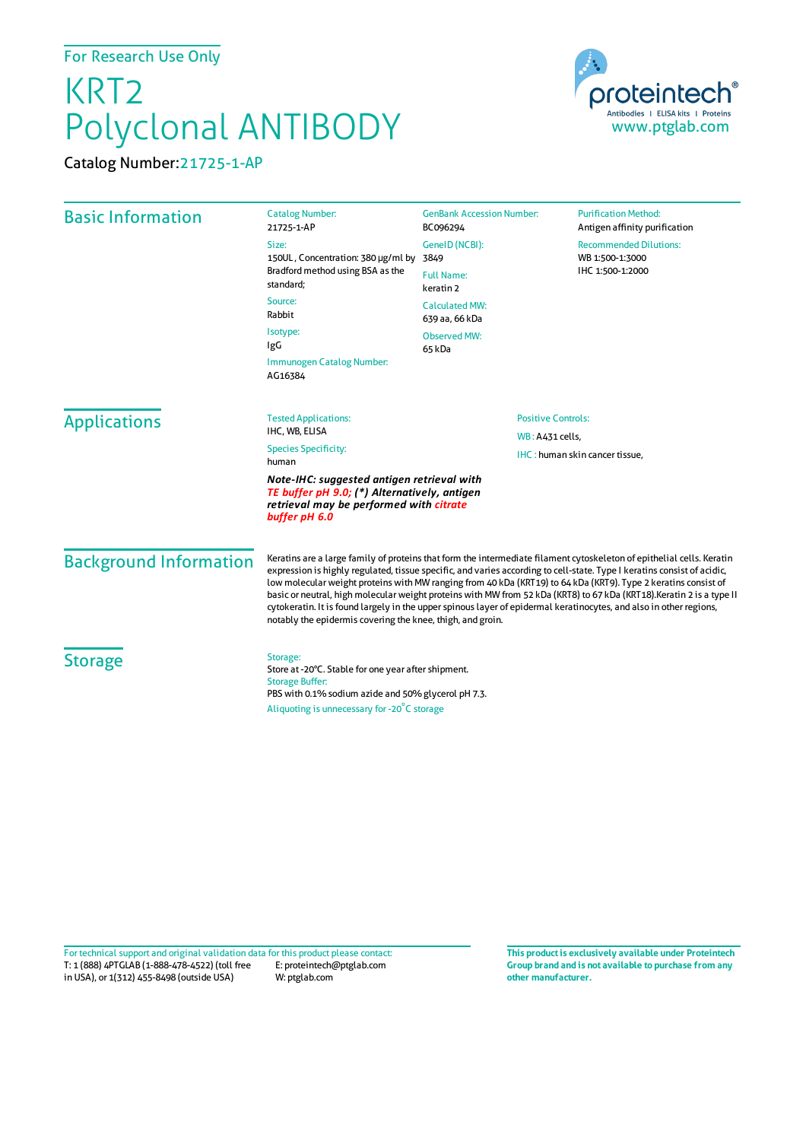## KRT2 Polyclonal ANTIBODY

Catalog Number:21725-1-AP



| <b>Basic Information</b>      | <b>Catalog Number:</b><br>21725-1-AP                                                                                                                                                                                                                                                                                                                                                                                                                                                                                                                                                                                                                                            | <b>GenBank Accession Number:</b><br>BC096294 | <b>Purification Method:</b><br>Antigen affinity purification |
|-------------------------------|---------------------------------------------------------------------------------------------------------------------------------------------------------------------------------------------------------------------------------------------------------------------------------------------------------------------------------------------------------------------------------------------------------------------------------------------------------------------------------------------------------------------------------------------------------------------------------------------------------------------------------------------------------------------------------|----------------------------------------------|--------------------------------------------------------------|
|                               | Size:<br>150UL, Concentration: 380 µg/ml by<br>Bradford method using BSA as the<br>standard;                                                                                                                                                                                                                                                                                                                                                                                                                                                                                                                                                                                    | GeneID (NCBI):<br>3849                       | <b>Recommended Dilutions:</b><br>WB 1:500-1:3000             |
|                               |                                                                                                                                                                                                                                                                                                                                                                                                                                                                                                                                                                                                                                                                                 | <b>Full Name:</b><br>keratin 2               | IHC 1:500-1:2000                                             |
|                               | Source:<br>Rabbit                                                                                                                                                                                                                                                                                                                                                                                                                                                                                                                                                                                                                                                               | <b>Calculated MW:</b><br>639 aa, 66 kDa      |                                                              |
|                               | Isotype:<br>IgG                                                                                                                                                                                                                                                                                                                                                                                                                                                                                                                                                                                                                                                                 | Observed MW:<br>65 kDa                       |                                                              |
|                               | Immunogen Catalog Number:<br>AG16384                                                                                                                                                                                                                                                                                                                                                                                                                                                                                                                                                                                                                                            |                                              |                                                              |
| <b>Applications</b>           | <b>Tested Applications:</b>                                                                                                                                                                                                                                                                                                                                                                                                                                                                                                                                                                                                                                                     | <b>Positive Controls:</b>                    |                                                              |
|                               | IHC, WB, ELISA                                                                                                                                                                                                                                                                                                                                                                                                                                                                                                                                                                                                                                                                  | WB: A431 cells,                              |                                                              |
|                               | <b>Species Specificity:</b><br>human                                                                                                                                                                                                                                                                                                                                                                                                                                                                                                                                                                                                                                            | IHC: human skin cancer tissue,               |                                                              |
|                               | Note-IHC: suggested antigen retrieval with<br>TE buffer pH 9.0; (*) Alternatively, antigen<br>retrieval may be performed with citrate<br>buffer pH 6.0                                                                                                                                                                                                                                                                                                                                                                                                                                                                                                                          |                                              |                                                              |
| <b>Background Information</b> | Keratins are a large family of proteins that form the intermediate filament cytoskeleton of epithelial cells. Keratin<br>expression is highly regulated, tissue specific, and varies according to cell-state. Type I keratins consist of acidic,<br>low molecular weight proteins with MW ranging from 40 kDa (KRT19) to 64 kDa (KRT9). Type 2 keratins consist of<br>basic or neutral, high molecular weight proteins with MW from 52 kDa (KRT8) to 67 kDa (KRT18). Keratin 2 is a type II<br>cytokeratin. It is found largely in the upper spinous layer of epidermal keratinocytes, and also in other regions,<br>notably the epidermis covering the knee, thigh, and groin. |                                              |                                                              |
| <b>Storage</b>                | Storage:<br>Store at -20°C. Stable for one year after shipment.<br><b>Storage Buffer:</b><br>PBS with 0.1% sodium azide and 50% glycerol pH 7.3.                                                                                                                                                                                                                                                                                                                                                                                                                                                                                                                                |                                              |                                                              |
|                               | Aliquoting is unnecessary for -20°C storage                                                                                                                                                                                                                                                                                                                                                                                                                                                                                                                                                                                                                                     |                                              |                                                              |

T: 1 (888) 4PTGLAB (1-888-478-4522) (toll free E: proteintech@ptglab.com in USA), or 1(312) 455-8498 (outside USA) W: ptglab.com Fortechnical support and original validation data forthis product please contact: **This productis exclusively available under Proteintech**

**Group brand and is not available to purchase from any other manufacturer.**